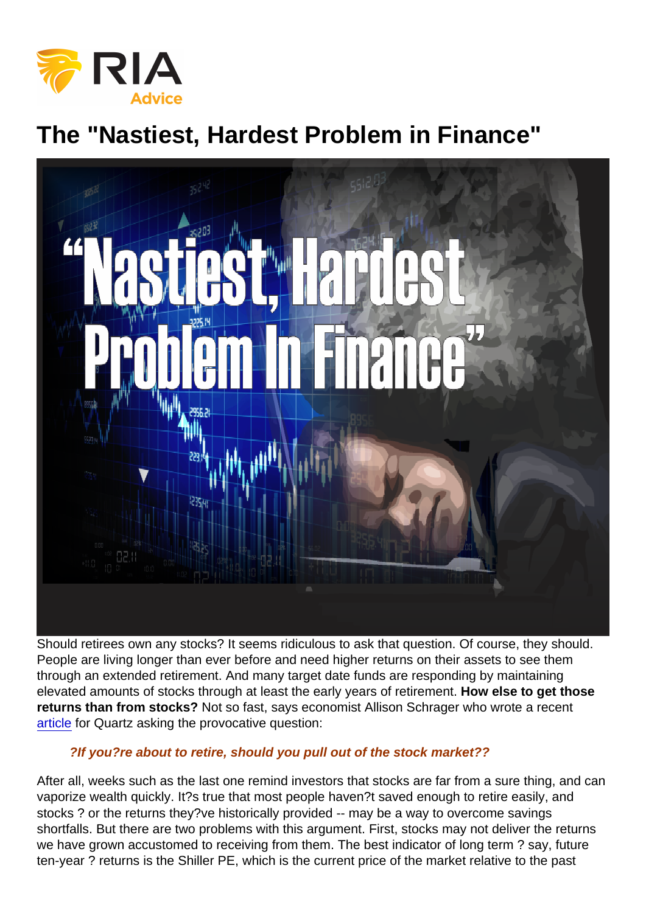## The "Nastiest, Hardest Problem in Finance"

Should retirees own any stocks? It seems ridiculous to ask that question. Of course, they should. People are living longer than ever before and need higher returns on their assets to see them through an extended retirement. And many target date funds are responding by maintaining elevated amounts of stocks through at least the early years of retirement. How else to get those returns than from stocks? Not so fast, says economist Allison Schrager who wrote a recent [article](https://qz.com/1201242/stock-market-decline-if-youre-about-to-retire-should-you-pull-out-of-equities/) for Quartz asking the provocative question:

## ?If you?re about to retire, should you pull out of the stock market??

After all, weeks such as the last one remind investors that stocks are far from a sure thing, and can vaporize wealth quickly. It?s true that most people haven?t saved enough to retire easily, and stocks ? or the returns they?ve historically provided -- may be a way to overcome savings shortfalls. But there are two problems with this argument. First, stocks may not deliver the returns we have grown accustomed to receiving from them. The best indicator of long term ? say, future ten-year ? returns is the Shiller PE, which is the current price of the market relative to the past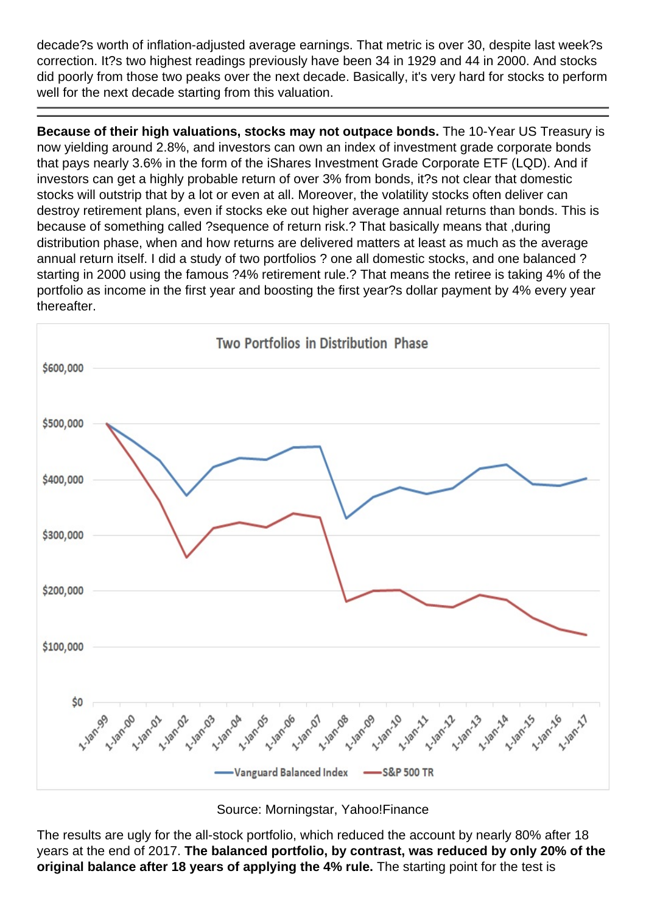decade?s worth of inflation-adjusted average earnings. That metric is over 30, despite last week?s correction. It?s two highest readings previously have been 34 in 1929 and 44 in 2000. And stocks did poorly from those two peaks over the next decade. Basically, it's very hard for stocks to perform well for the next decade starting from this valuation.

Because of their high valuations, stocks may not outpace bonds. The 10-Year US Treasury is now yielding around 2.8%, and investors can own an index of investment grade corporate bonds that pays nearly 3.6% in the form of the iShares Investment Grade Corporate ETF (LQD). And if investors can get a highly probable return of over 3% from bonds, it?s not clear that domestic stocks will outstrip that by a lot or even at all. Moreover, the volatility stocks often deliver can destroy retirement plans, even if stocks eke out higher average annual returns than bonds. This is because of something called ?sequence of return risk.? That basically means that ,during distribution phase, when and how returns are delivered matters at least as much as the average annual return itself. I did a study of two portfolios ? one all domestic stocks, and one balanced ? starting in 2000 using the famous ?4% retirement rule.? That means the retiree is taking 4% of the portfolio as income in the first year and boosting the first year?s dollar payment by 4% every year thereafter.

Source: Morningstar, Yahoo!Finance

The results are ugly for the all-stock portfolio, which reduced the account by nearly 80% after 18 years at the end of 2017. The balanced portfolio, by contrast, was reduced by only 20% of the original balance after 18 years of applying the 4% rule. The starting point for the test is